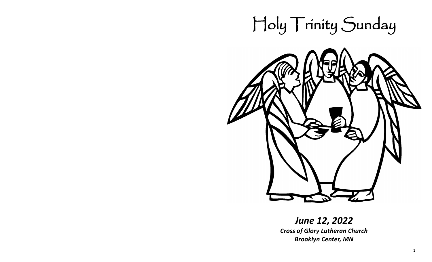



*June 12, 2022 Cross of Glory Lutheran Church Brooklyn Center, MN*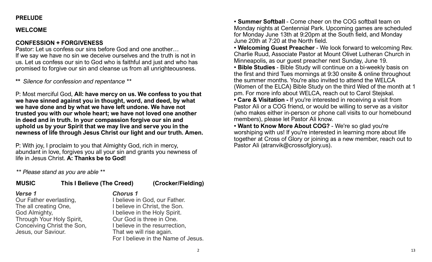# **PRELUDE**

# **WELCOME**

# **CONFESSION + FORGIVENESS**

Pastor: Let us confess our sins before God and one another… If we say we have no sin we deceive ourselves and the truth is not in us. Let us confess our sin to God who is faithful and just and who has promised to forgive our sin and cleanse us from all unrighteousness.

**\*\*** *Silence for confession and repentance \*\**

P: Most merciful God, **All: have mercy on us. We confess to you that we have sinned against you in thought, word, and deed, by what we have done and by what we have left undone. We have not trusted you with our whole heart; we have not loved one another in deed and in truth. In your compassion forgive our sin and uphold us by your Spirit that we may live and serve you in the newness of life through Jesus Christ our light and our truth. Amen.**

P: With joy, I proclaim to you that Almighty God, rich in mercy, abundant in love, forgives you all your sin and grants you newness of life in Jesus Christ. **A: Thanks be to God!**

*\*\* Please stand as you are able \*\**

# **MUSIC This I Believe (The Creed) (Crocker/Fielding)**

#### *Verse 1*

Our Father everlasting, The all creating One, God Almighty, Through Your Holy Spirit, Conceiving Christ the Son, Jesus, our Saviour.

# *Chorus 1*

I believe in God, our Father. I believe in Christ, the Son. I believe in the Holy Spirit. Our God is three in One. I believe in the resurrection, That we will rise again. For I believe in the Name of Jesus. • **Summer Softball** - Come cheer on the COG softball team on Monday nights at Centennial Park. Upcoming games are scheduled for Monday June 13th at 9:20pm at the South field, and Monday June 20th at 7:20 at the North field.

• **Welcoming Guest Preacher** - We look forward to welcoming Rev. Charlie Ruud, Associate Pastor at Mount Olivet Lutheran Church in Minneapolis, as our guest preacher next Sunday, June 19.

- **Bible Studies**  Bible Study will continue on a bi-weekly basis on the first and third Tues mornings at 9:30 onsite & online throughout the summer months. You're also invited to attend the WELCA (Women of the ELCA) Bible Study on the third Wed of the month at 1 pm. For more info about WELCA, reach out to Carol Stejskal.
- **Care & Visitation -** If you're interested in receiving a visit from Pastor Ali or a COG friend, or would be willing to serve as a visitor (who makes either in-person or phone call visits to our homebound members), please let Pastor Ali know.

• **Want to Know More About COG?** - We're so glad you're worshiping with us! If you're interested in learning more about life together at Cross of Glory or joining as a new member, reach out to Pastor Ali (atranvik@crossofglory.us).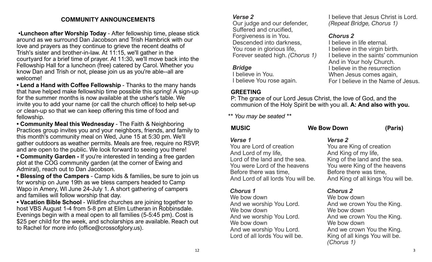# **COMMUNITY ANNOUNCEMENTS**

•**Luncheon after Worship Today** - After fellowship time, please stick around as we surround Dan Jacobson and Trish Hambrick with our love and prayers as they continue to grieve the recent deaths of Trish's sister and brother-in-law. At 11:15, we'll gather in the courtyard for a brief time of prayer. At 11:30, we'll move back into the Fellowship Hall for a luncheon (free) catered by Carol. Whether you know Dan and Trish or not, please join us as you're able--all are welcome!

**• Lend a Hand with Coffee Fellowship** - Thanks to the many hands that have helped make fellowship time possible this spring! A sign-up for the summer months is now available at the usher's table. We invite you to add your name (or call the church office) to help set-up or clean-up so that we can keep offering this time of food and fellowship.

**• Community Meal this Wednesday** - The Faith & Neighboring Practices group invites you and your neighbors, friends, and family to this month's community meal on Wed, June 15 at 5:30 pm. We'll gather outdoors as weather permits. Meals are free, require no RSVP, and are open to the public. We look forward to seeing you there!

**• Community Garden -** If you're interested in tending a free garden plot at the COG community garden (at the corner of Ewing and Admiral), reach out to Dan Jacobson.

**• Blessing of the Campers** - Camp kids & families, be sure to join us for worship on June 19th as we bless campers headed to Camp Wapo in Amery, WI June 24-July 1. A short gathering of campers and families will follow worship that day.

**• Vacation Bible School** - Wildfire churches are joining together to host VBS August 1-4 from 5-8 pm at Elim Lutheran in Robbinsdale. Evenings begin with a meal open to all families (5-5:45 pm). Cost is \$25 per child for the week, and scholarships are available. Reach out to Rachel for more info (office@crossofglory.us).

#### *Verse 2*

Our judge and our defender, Suffered and crucified, Forgiveness is in You. Descended into darkness, You rose in glorious life, Forever seated high. *(Chorus 1)*

### *Bridge*

I believe in You. I believe You rose again.

**GREETING**

*(Repeat Bridge, Chorus 1)*

I believe that Jesus Christ is Lord.

# *Chorus 2*

I believe in life eternal. I believe in the virgin birth. I believe in the saints' communion And in Your holy Church. I believe in the resurrection When Jesus comes again, For I believe in the Name of Jesus.

P: The grace of our Lord Jesus Christ, the love of God, and the communion of the Holy Spirit be with you all. **A: And also with you.**

*\*\* You may be seated \*\**

**MUSIC We Bow Down (Paris)**

# *Verse 1*

You are Lord of creation And Lord of my life, Lord of the land and the sea. You were Lord of the heavens Before there was time, And Lord of all lords You will be.

# *Chorus 1*

We bow down And we worship You Lord. We bow down And we worship You Lord. We bow down And we worship You Lord. Lord of all lords You will be. *Verse 2*

You are King of creation And King of my life, King of the land and the sea. You were King of the heavens Before there was time, And King of all kings You will be.

# *Chorus 2*

We bow down And we crown You the King. We bow down And we crown You the King. We bow down And we crown You the King. King of all kings You will be. *(Chorus 1)*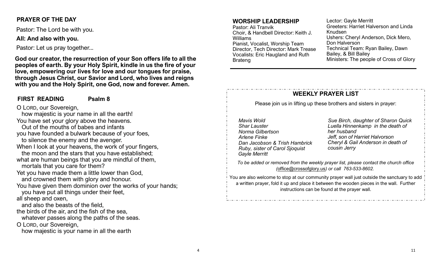# **PRAYER OF THE DAY**

Pastor: The Lord be with you.

#### **All: And also with you.**

Pastor: Let us pray together...

**God our creator, the resurrection of your Son offers life to all the peoples of earth. By your Holy Spirit, kindle in us the fire of your love, empowering our lives for love and our tongues for praise, through Jesus Christ, our Savior and Lord, who lives and reigns with you and the Holy Spirit, one God, now and forever. Amen.**

### **FIRST READING Psalm 8**

O LORD, our Sovereign,

 how majestic is your name in all the earth! You have set your glory above the heavens. Out of the mouths of babes and infants

you have founded a bulwark because of your foes,

to silence the enemy and the avenger.

When I look at your heavens, the work of your fingers, the moon and the stars that you have established;

what are human beings that you are mindful of them, mortals that you care for them?

Yet you have made them a little lower than God,

and crowned them with glory and honour.

You have given them dominion over the works of your hands;

 you have put all things under their feet, all sheep and oxen,

and also the beasts of the field,

the birds of the air, and the fish of the sea, whatever passes along the paths of the seas.

O LORD, our Sovereign,

how majestic is your name in all the earth

#### **WORSHIP LEADERSHIP**

Pastor: Ali Tranvik Choir, & Handbell Director: Keith J. Williams Pianist, Vocalist, Worship Team Director, Tech Director: Mark Trease Vocalists: Eric Haugland and Ruth Brateng

Lector: Gayle Merritt Greeters: Harriet Halverson and Linda Knudsen Ushers: Cheryl Anderson, Dick Mero, Don Halverson Technical Team: Ryan Bailey, Dawn Bailey, & Bill Bailey Ministers: The people of Cross of Glory

# **WEEKLY PRAYER LIST**

Please join us in lifting up these brothers and sisters in prayer:

*Mavis Wold Shar Lauster Norma Gilbertson Arlene Finke Dan Jacobson & Trish Hambrick Ruby, sister of Carol Sjoquist Gayle Merritt*

*Sue Birch, daughter of Sharon Quick Luella Hinnenkamp in the death of her husband Jeff, son of Harriet Halvorson Cheryl & Gail Anderson in death of cousin Jerry* 

*To be added or removed from the weekly prayer list, please contact the church office (*[office@crossofglory.us](mailto:office@crossofglory.us)*) or call 763-533-8602.*

You are also welcome to stop at our community prayer wall just outside the sanctuary to add a written prayer, fold it up and place it between the wooden pieces in the wall. Further instructions can be found at the prayer wall.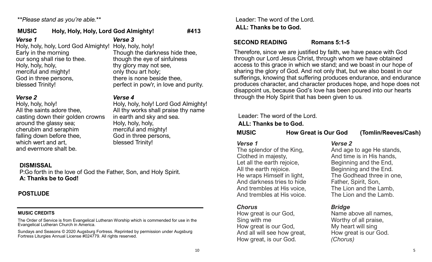*\*\*Please stand as you're able.\*\**

## **MUSIC Holy, Holy, Holy, Lord God Almighty! #413**

*Verse 1*

# *Verse 3*

blessed Trinity!

thy glory may not see, only thou art holy;

Holy, holy, holy, Lord God Almighty! Holy, holy, holy! Early in the morning our song shall rise to thee. Holy, holy, holy, merciful and mighty! God in three persons, blessed Trinity!

#### *Verse 2*

Holy, holy, holy! All the saints adore thee, casting down their golden crowns around the glassy sea; cherubim and seraphim falling down before thee, which wert and art, and evermore shalt be.

there is none beside thee, perfect in pow'r, in love and purity. *Verse 4* Holy, holy, holy! Lord God Almighty! All thy works shall praise thy name in earth and sky and sea. Holy, holy, holy, merciful and mighty! God in three persons,

Though the darkness hide thee, though the eye of sinfulness

### **DISMISSAL**

P:Go forth in the love of God the Father, Son, and Holy Spirit. **A: Thanks be to God!**

# **POSTLUDE**

#### **MUSIC CREDITS**

The Order of Service is from Evangelical Lutheran Worship which is commended for use in the Evangelical Lutheran Church in America.

Sundays and Seasons © 2020 Augsburg Fortress. Reprinted by permission under Augsburg Fortress Liturgies Annual License #024779. All rights reserved.

Leader: The word of the Lord. **ALL: Thanks be to God.**

## **SECOND READING Romans 5:1-5**

Therefore, since we are justified by faith, we have peace with God through our Lord Jesus Christ, through whom we have obtained access to this grace in which we stand; and we boast in our hope of sharing the glory of God. And not only that, but we also boast in our sufferings, knowing that suffering produces endurance, and endurance produces character, and character produces hope, and hope does not disappoint us, because God's love has been poured into our hearts through the Holy Spirit that has been given to us.

# Leader: The word of the Lord.

# **ALL: Thanks be to God.**

**MUSIC How Great is Our God (Tomlin/Reeves/Cash)** 

# *Verse 1*

The splendor of the King, Clothed in majesty, Let all the earth rejoice, All the earth rejoice. He wraps Himself in light, And darkness tries to hide And trembles at His voice, And trembles at His voice.

# *Chorus*

How great is our God, Sing with me How great is our God, And all will see how great, How great, is our God.

### *Verse 2*

And age to age He stands, And time is in His hands, Beginning and the End, Beginning and the End. The Godhead three in one, Father, Spirit, Son, The Lion and the Lamb, The Lion and the Lamb.

# *Bridge*

Name above all names, Worthy of all praise, My heart will sing How great is our God. *(Chorus)*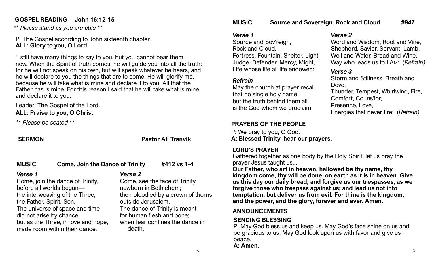# **GOSPEL READING John 16:12-15**

*\*\* Please stand as you are able \*\**

P: The Gospel according to John sixteenth chapter. **ALL: Glory to you, O Lord.**

'I still have many things to say to you, but you cannot bear them now. When the Spirit of truth comes, he will guide you into all the truth; for he will not speak on his own, but will speak whatever he hears, and he will declare to you the things that are to come. He will glorify me, because he will take what is mine and declare it to you. All that the Father has is mine. For this reason I said that he will take what is mine and declare it to you.

Leader: The Gospel of the Lord. **ALL: Praise to you, O Christ.**

*\*\* Please be seated \*\**

# **SERMON Pastor Ali Tranvik**

| <b>MUSIC</b> |  | $\mathbf{C}$ |
|--------------|--|--------------|
|              |  |              |

**MUSIC Come, Join the Dance of Trinity #412 vs 1-4** 

### *Verse 1*

Come, join the dance of Trinity, before all worlds begun the interweaving of the Three, the Father, Spirit, Son. The universe of space and time did not arise by chance, but as the Three, in love and hope, made room within their dance.

# *Verse 2*

Come, see the face of Trinity, newborn in Bethlehem; then bloodied by a crown of thorns outside Jerusalem. The dance of Trinity is meant for human flesh and bone; when fear confines the dance in death,

6

# **MUSIC Source and Sovereign, Rock and Cloud #947**

#### *Verse 1*

Source and Sov'reign, Rock and Cloud, Fortress, Fountain, Shelter, Light, Judge, Defender, Mercy, Might, Life whose life all life endowed:

#### *Refrain*

May the church at prayer recall that no single holy name but the truth behind them all is the God whom we proclaim.

### **PRAYERS OF THE PEOPLE**

P: We pray to you, O God. **A: Blessed Trinity, hear our prayers.**

### **LORD'S PRAYER**

Gathered together as one body by the Holy Spirit, let us pray the prayer Jesus taught us...

**Our Father, who art in heaven, hallowed be thy name, thy kingdom come, thy will be done, on earth as it is in heaven. Give us this day our daily bread; and forgive us our trespasses, as we forgive those who trespass against us; and lead us not into temptation, but deliver us from evil. For thine is the kingdom, and the power, and the glory, forever and ever. Amen.** 

# **ANNOUNCEMENTS**

### **SENDING BLESSING**

P: May God bless us and keep us. May God's face shine on us and be gracious to us. May God look upon us with favor and give us peace.

#### **A: Amen.**

*Verse 2*

Word and Wisdom, Root and Vine, Shepherd, Savior, Servant, Lamb, Well and Water, Bread and Wine, Way who leads us to I AM: (*Refrain)*

### *Verse 3*

Storm and Stillness, Breath and Dove, Thunder, Tempest, Whirlwind, Fire, Comfort, Couns'lor, Presence, Love, Energies that never tire: (*Refrain)*